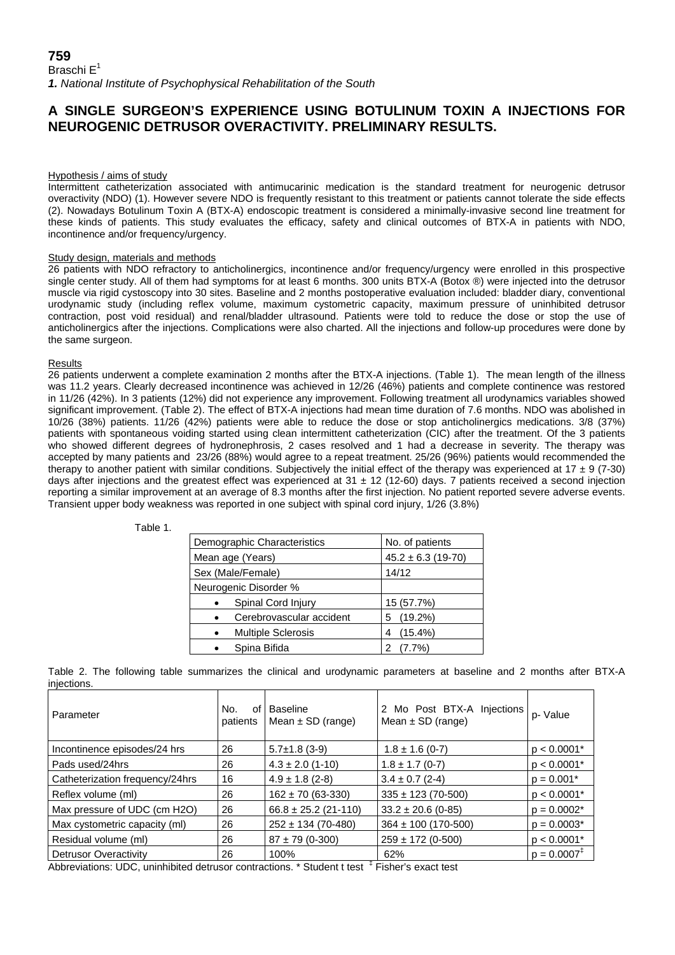# **A SINGLE SURGEON'S EXPERIENCE USING BOTULINUM TOXIN A INJECTIONS FOR NEUROGENIC DETRUSOR OVERACTIVITY. PRELIMINARY RESULTS.**

# Hypothesis / aims of study

Intermittent catheterization associated with antimucarinic medication is the standard treatment for neurogenic detrusor overactivity (NDO) (1). However severe NDO is frequently resistant to this treatment or patients cannot tolerate the side effects (2). Nowadays Botulinum Toxin A (BTX-A) endoscopic treatment is considered a minimally-invasive second line treatment for these kinds of patients. This study evaluates the efficacy, safety and clinical outcomes of BTX-A in patients with NDO, incontinence and/or frequency/urgency.

# Study design, materials and methods

26 patients with NDO refractory to anticholinergics, incontinence and/or frequency/urgency were enrolled in this prospective single center study. All of them had symptoms for at least 6 months. 300 units BTX-A (Botox ®) were injected into the detrusor muscle via rigid cystoscopy into 30 sites. Baseline and 2 months postoperative evaluation included: bladder diary, conventional urodynamic study (including reflex volume, maximum cystometric capacity, maximum pressure of uninhibited detrusor contraction, post void residual) and renal/bladder ultrasound. Patients were told to reduce the dose or stop the use of anticholinergics after the injections. Complications were also charted. All the injections and follow-up procedures were done by the same surgeon.

# Results

26 patients underwent a complete examination 2 months after the BTX-A injections. (Table 1). The mean length of the illness was 11.2 years. Clearly decreased incontinence was achieved in 12/26 (46%) patients and complete continence was restored in 11/26 (42%). In 3 patients (12%) did not experience any improvement. Following treatment all urodynamics variables showed significant improvement. (Table 2). The effect of BTX-A injections had mean time duration of 7.6 months. NDO was abolished in 10/26 (38%) patients. 11/26 (42%) patients were able to reduce the dose or stop anticholinergics medications. 3/8 (37%) patients with spontaneous voiding started using clean intermittent catheterization (CIC) after the treatment. Of the 3 patients who showed different degrees of hydronephrosis, 2 cases resolved and 1 had a decrease in severity. The therapy was accepted by many patients and 23/26 (88%) would agree to a repeat treatment. 25/26 (96%) patients would recommended the therapy to another patient with similar conditions. Subjectively the initial effect of the therapy was experienced at 17  $\pm$  9 (7-30) days after injections and the greatest effect was experienced at  $31 \pm 12$  (12-60) days. 7 patients received a second injection reporting a similar improvement at an average of 8.3 months after the first injection. No patient reported severe adverse events. Transient upper body weakness was reported in one subject with spinal cord injury, 1/26 (3.8%)

#### Table 1.

| Demographic Characteristics | No. of patients        |  |
|-----------------------------|------------------------|--|
| Mean age (Years)            | $45.2 \pm 6.3$ (19-70) |  |
| Sex (Male/Female)           | 14/12                  |  |
| Neurogenic Disorder %       |                        |  |
| Spinal Cord Injury          | 15 (57.7%)             |  |
| Cerebrovascular accident    | $(19.2\%)$<br>5        |  |
| <b>Multiple Sclerosis</b>   | $(15.4\%)$<br>4        |  |
| Spina Bifida                | $(7.7\%)$              |  |

Table 2. The following table summarizes the clinical and urodynamic parameters at baseline and 2 months after BTX-A injections.

| Parameter                       | No.<br>of I<br>patients | <b>Baseline</b><br>Mean $\pm$ SD (range) | Mo Post BTX-A Injections<br>2<br>Mean $\pm$ SD (range) | p- Value                |
|---------------------------------|-------------------------|------------------------------------------|--------------------------------------------------------|-------------------------|
| Incontinence episodes/24 hrs    | 26                      | $5.7\pm1.8$ (3-9)                        | $1.8 \pm 1.6$ (0-7)                                    | $p < 0.0001*$           |
| Pads used/24hrs                 | 26                      | $4.3 \pm 2.0$ (1-10)                     | $1.8 \pm 1.7$ (0-7)                                    | $p < 0.0001*$           |
| Catheterization frequency/24hrs | 16                      | $4.9 \pm 1.8$ (2-8)                      | $3.4 \pm 0.7$ (2-4)                                    | $p = 0.001*$            |
| Reflex volume (ml)              | 26                      | $162 \pm 70 (63 - 330)$                  | $335 \pm 123$ (70-500)                                 | $p < 0.0001*$           |
| Max pressure of UDC (cm H2O)    | 26                      | $66.8 \pm 25.2$ (21-110)                 | $33.2 \pm 20.6$ (0-85)                                 | $p = 0.0002*$           |
| Max cystometric capacity (ml)   | 26                      | $252 \pm 134$ (70-480)                   | $364 \pm 100$ (170-500)                                | $p = 0.0003*$           |
| Residual volume (ml)            | 26                      | $87 \pm 79$ (0-300)                      | $259 \pm 172$ (0-500)                                  | $p < 0.0001*$           |
| Detrusor Overactivity           | 26                      | 100%                                     | 62%                                                    | $p = 0.0007^{\ddagger}$ |

Abbreviations: UDC, uninhibited detrusor contractions. \* Student t test <sup>‡</sup> Fisher's exact test